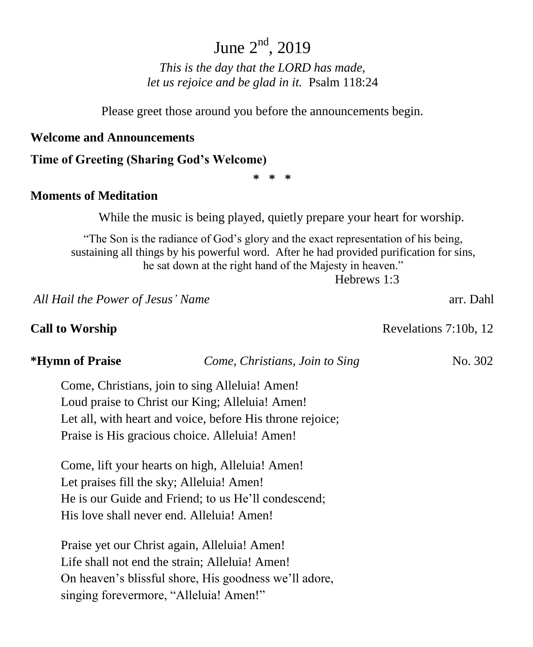# June  $2<sup>nd</sup>$ , 2019

*This is the day that the LORD has made, let us rejoice and be glad in it.* Psalm 118:24

Please greet those around you before the announcements begin.

#### **Welcome and Announcements**

#### **Time of Greeting (Sharing God's Welcome)**

**\* \* \***

### **Moments of Meditation**

While the music is being played, quietly prepare your heart for worship.

"The Son is the radiance of God's glory and the exact representation of his being, sustaining all things by his powerful word. After he had provided purification for sins, he sat down at the right hand of the Majesty in heaven."

Hebrews 1:3

*All Hail the Power of Jesus' Name* arr. Dahl

**Call to Worship**  Revelations 7:10b, 12

**\*Hymn of Praise** *Come, Christians, Join to Sing* No. 302

Come, Christians, join to sing Alleluia! Amen! Loud praise to Christ our King; Alleluia! Amen! Let all, with heart and voice, before His throne rejoice; Praise is His gracious choice. Alleluia! Amen!

Come, lift your hearts on high, Alleluia! Amen! Let praises fill the sky; Alleluia! Amen! He is our Guide and Friend; to us He'll condescend; His love shall never end. Alleluia! Amen!

Praise yet our Christ again, Alleluia! Amen! Life shall not end the strain: Alleluia! Amen! On heaven's blissful shore, His goodness we'll adore, singing forevermore, "Alleluia! Amen!"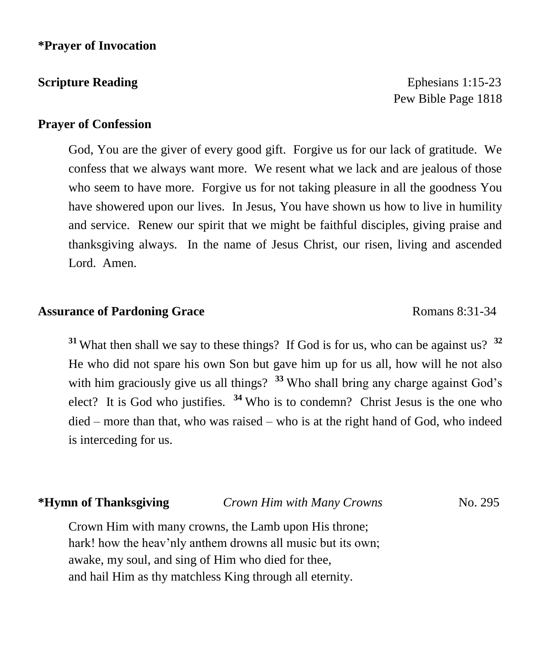**Scripture Reading Ephesians 1:15-23 Ephesians 1:15-23** Pew Bible Page 1818

### **Prayer of Confession**

God, You are the giver of every good gift. Forgive us for our lack of gratitude. We confess that we always want more. We resent what we lack and are jealous of those who seem to have more. Forgive us for not taking pleasure in all the goodness You have showered upon our lives. In Jesus, You have shown us how to live in humility and service. Renew our spirit that we might be faithful disciples, giving praise and thanksgiving always. In the name of Jesus Christ, our risen, living and ascended Lord. Amen.

#### **Assurance of Pardoning Grace** Romans 8:31-34

**<sup>31</sup>** What then shall we say to these things? If God is for us, who can be against us? **<sup>32</sup>** He who did not spare his own Son but gave him up for us all, how will he not also with him graciously give us all things? <sup>33</sup> Who shall bring any charge against God's elect? It is God who justifies. **<sup>34</sup>** Who is to condemn? Christ Jesus is the one who died – more than that, who was raised – who is at the right hand of God, who indeed is interceding for us.

**\*Hymn of Thanksgiving** *Crown Him with Many Crowns* No. 295

Crown Him with many crowns, the Lamb upon His throne; hark! how the heav'nly anthem drowns all music but its own; awake, my soul, and sing of Him who died for thee, and hail Him as thy matchless King through all eternity.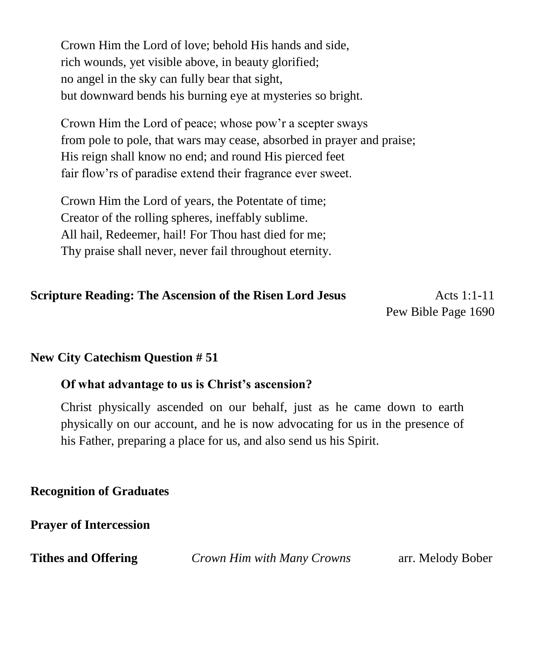Crown Him the Lord of love; behold His hands and side, rich wounds, yet visible above, in beauty glorified; no angel in the sky can fully bear that sight, but downward bends his burning eye at mysteries so bright.

Crown Him the Lord of peace; whose pow'r a scepter sways from pole to pole, that wars may cease, absorbed in prayer and praise; His reign shall know no end; and round His pierced feet fair flow'rs of paradise extend their fragrance ever sweet.

Crown Him the Lord of years, the Potentate of time; Creator of the rolling spheres, ineffably sublime. All hail, Redeemer, hail! For Thou hast died for me; Thy praise shall never, never fail throughout eternity.

## **Scripture Reading: The Ascension of the Risen Lord Jesus 6 1:1-11** Acts 1:1-11

Pew Bible Page 1690

### **New City Catechism Question # 51**

#### **Of what advantage to us is Christ's ascension?**

Christ physically ascended on our behalf, just as he came down to earth physically on our account, and he is now advocating for us in the presence of his Father, preparing a place for us, and also send us his Spirit.

### **Recognition of Graduates**

**Prayer of Intercession**

**Tithes and Offering** *Crown Him with Many Crowns* arr. Melody Bober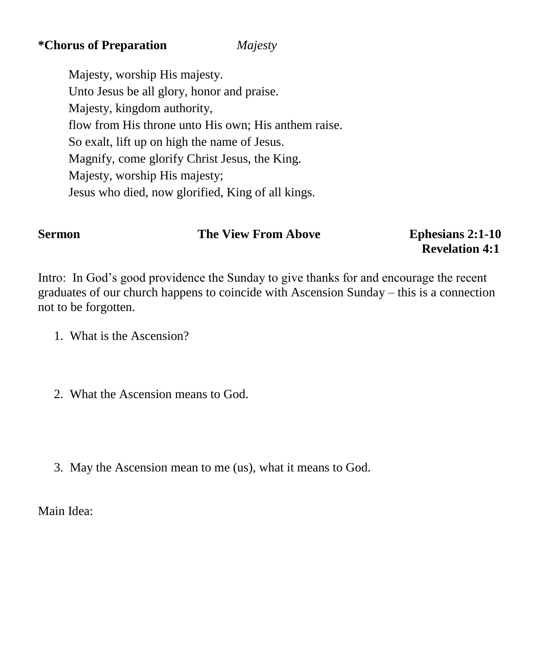## **\*Chorus of Preparation** *Majesty*

Majesty, worship His majesty. Unto Jesus be all glory, honor and praise. Majesty, kingdom authority, flow from His throne unto His own; His anthem raise. So exalt, lift up on high the name of Jesus. Magnify, come glorify Christ Jesus, the King. Majesty, worship His majesty; Jesus who died, now glorified, King of all kings.

# **Sermon** The View From Above Ephesians 2:1-10

 **Revelation 4:1** 

Intro: In God's good providence the Sunday to give thanks for and encourage the recent graduates of our church happens to coincide with Ascension Sunday – this is a connection not to be forgotten.

- 1. What is the Ascension?
- 2. What the Ascension means to God.
- 3. May the Ascension mean to me (us), what it means to God.

Main Idea: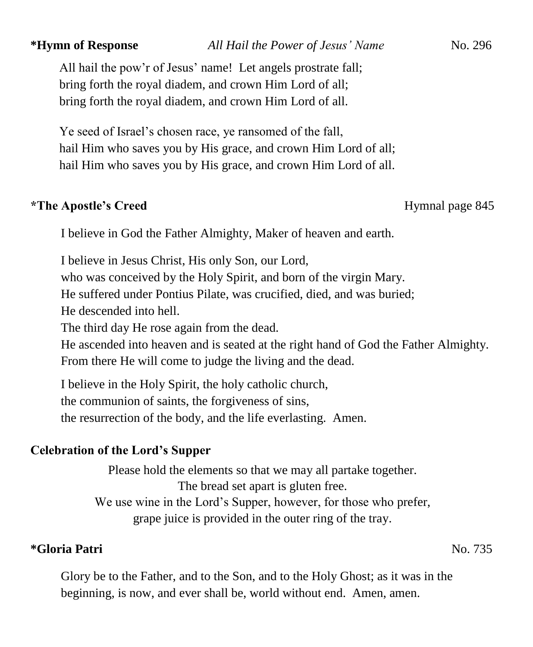All hail the pow'r of Jesus' name! Let angels prostrate fall; bring forth the royal diadem, and crown Him Lord of all; bring forth the royal diadem, and crown Him Lord of all.

Ye seed of Israel's chosen race, ye ransomed of the fall, hail Him who saves you by His grace, and crown Him Lord of all; hail Him who saves you by His grace, and crown Him Lord of all.

### \*The Apostle's Creed Hymnal page 845

I believe in God the Father Almighty, Maker of heaven and earth.

I believe in Jesus Christ, His only Son, our Lord, who was conceived by the Holy Spirit, and born of the virgin Mary. He suffered under Pontius Pilate, was crucified, died, and was buried; He descended into hell. The third day He rose again from the dead. He ascended into heaven and is seated at the right hand of God the Father Almighty. From there He will come to judge the living and the dead.

I believe in the Holy Spirit, the holy catholic church, the communion of saints, the forgiveness of sins, the resurrection of the body, and the life everlasting. Amen.

### **Celebration of the Lord's Supper**

Please hold the elements so that we may all partake together. The bread set apart is gluten free. We use wine in the Lord's Supper, however, for those who prefer, grape juice is provided in the outer ring of the tray.

### **\*Gloria Patri** No. 735

Glory be to the Father, and to the Son, and to the Holy Ghost; as it was in the beginning, is now, and ever shall be, world without end. Amen, amen.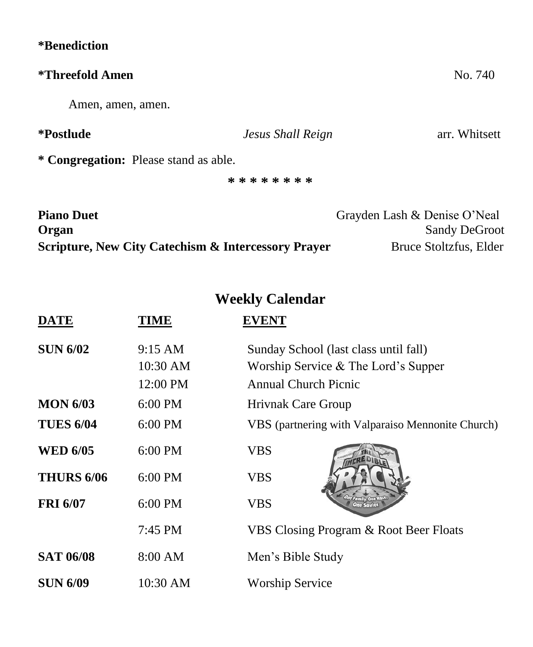| <i>*</i> Benediction                                           |                   |                              |
|----------------------------------------------------------------|-------------------|------------------------------|
| <i>*Threefold Amen</i>                                         |                   | No. 740                      |
| Amen, amen, amen.                                              |                   |                              |
| <i>*Postlude</i>                                               | Jesus Shall Reign | arr. Whitsett                |
| * Congregation: Please stand as able.                          |                   |                              |
|                                                                | * * * * * * * *   |                              |
| <b>Piano Duet</b>                                              |                   | Grayden Lash & Denise O'Neal |
| Organ                                                          |                   | <b>Sandy DeGroot</b>         |
| <b>Scripture, New City Catechism &amp; Intercessory Prayer</b> |                   | Bruce Stoltzfus, Elder       |

**Weekly Calendar**

| <b>DATE</b>       | TIME              | <b>EVENT</b>                                      |
|-------------------|-------------------|---------------------------------------------------|
| <b>SUN 6/02</b>   | $9:15 \text{ AM}$ | Sunday School (last class until fall)             |
|                   | 10:30 AM          | Worship Service $&$ The Lord's Supper             |
|                   | 12:00 PM          | <b>Annual Church Picnic</b>                       |
| <b>MON 6/03</b>   | $6:00$ PM         | <b>Hrivnak Care Group</b>                         |
| <b>TUES 6/04</b>  | $6:00$ PM         | VBS (partnering with Valparaiso Mennonite Church) |
| <b>WED 6/05</b>   | $6:00$ PM         | <b>VBS</b>                                        |
| <b>THURS 6/06</b> | 6:00 PM           | <b>VBS</b>                                        |
| <b>FRI 6/07</b>   | $6:00$ PM         | <b>VBS</b>                                        |
|                   | $7:45$ PM         | VBS Closing Program & Root Beer Floats            |
| <b>SAT 06/08</b>  | 8:00 AM           | Men's Bible Study                                 |
| <b>SUN 6/09</b>   | 10:30 AM          | <b>Worship Service</b>                            |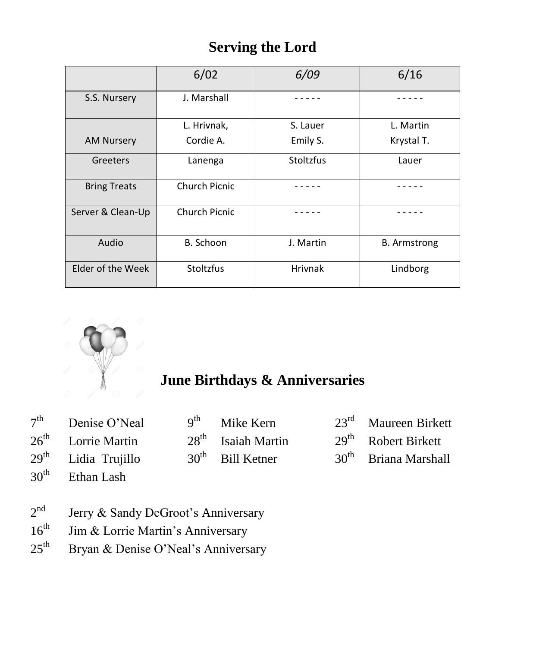## **Serving the Lord**

|                     | 6/02             | 6/09           | 6/16                |
|---------------------|------------------|----------------|---------------------|
| S.S. Nursery        | J. Marshall      |                |                     |
|                     | L. Hrivnak,      | S. Lauer       | L. Martin           |
| <b>AM Nursery</b>   | Cordie A.        | Emily S.       | Krystal T.          |
| Greeters            | Lanenga          | Stoltzfus      | Lauer               |
| <b>Bring Treats</b> | Church Picnic    |                |                     |
| Server & Clean-Up   | Church Picnic    |                |                     |
| Audio               | B. Schoon        | J. Martin      | <b>B.</b> Armstrong |
| Elder of the Week   | <b>Stoltzfus</b> | <b>Hrivnak</b> | Lindborg            |



# **June Birthdays & Anniversaries**

| $7th$ Denise O'Neal   | 9 <sup>th</sup> Mike Kern | $23rd$ Maureen Birkett |
|-----------------------|---------------------------|------------------------|
| $26th$ Lorrie Martin  | $28th$ Isaiah Martin      | $29th$ Robert Birkett  |
| $29th$ Lidia Trujillo | $30th$ Bill Ketner        | $30th$ Briana Marshall |
| $30th$ Ethan Lash     |                           |                        |

- $2<sup>nd</sup>$ Jerry & Sandy DeGroot's Anniversary
- 16<sup>th</sup> Jim & Lorrie Martin's Anniversary
- 25<sup>th</sup> Bryan & Denise O'Neal's Anniversary